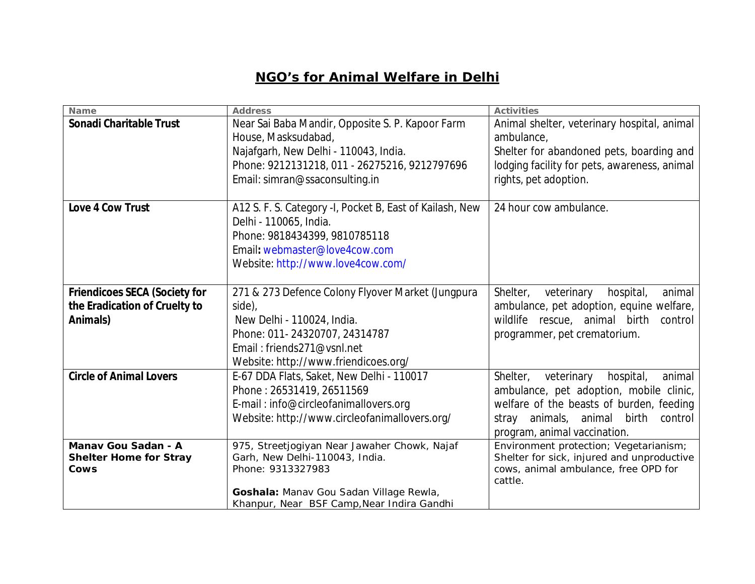## **NGO's for Animal Welfare in Delhi**

| Name                                 | <b>Address</b>                                           | <b>Activities</b>                             |
|--------------------------------------|----------------------------------------------------------|-----------------------------------------------|
| <b>Sonadi Charitable Trust</b>       | Near Sai Baba Mandir, Opposite S. P. Kapoor Farm         | Animal shelter, veterinary hospital, animal   |
|                                      | House, Masksudabad,                                      | ambulance,                                    |
|                                      | Najafgarh, New Delhi - 110043, India.                    | Shelter for abandoned pets, boarding and      |
|                                      | Phone: 9212131218, 011 - 26275216, 9212797696            | lodging facility for pets, awareness, animal  |
|                                      | Email: simran@ssaconsulting.in                           | rights, pet adoption.                         |
|                                      |                                                          |                                               |
| Love 4 Cow Trust                     | A12 S. F. S. Category -I, Pocket B, East of Kailash, New | 24 hour cow ambulance.                        |
|                                      | Delhi - 110065, India.                                   |                                               |
|                                      | Phone: 9818434399, 9810785118                            |                                               |
|                                      | Email: webmaster@love4cow.com                            |                                               |
|                                      | Website: http://www.love4cow.com/                        |                                               |
|                                      |                                                          |                                               |
| <b>Friendicoes SECA (Society for</b> | 271 & 273 Defence Colony Flyover Market (Jungpura        | Shelter,<br>veterinary<br>hospital,<br>animal |
| the Eradication of Cruelty to        | side),                                                   | ambulance, pet adoption, equine welfare,      |
| Animals)                             | New Delhi - 110024, India.                               | wildlife rescue, animal birth<br>control      |
|                                      | Phone: 011-24320707, 24314787                            | programmer, pet crematorium.                  |
|                                      | Email: friends271@vsnl.net                               |                                               |
|                                      | Website: http://www.friendicoes.org/                     |                                               |
| <b>Circle of Animal Lovers</b>       | E-67 DDA Flats, Saket, New Delhi - 110017                | Shelter,<br>hospital,<br>veterinary<br>animal |
|                                      | Phone: 26531419, 26511569                                | ambulance, pet adoption, mobile clinic,       |
|                                      | E-mail: info@circleofanimallovers.org                    | welfare of the beasts of burden, feeding      |
|                                      | Website: http://www.circleofanimallovers.org/            | animals,<br>animal birth<br>control<br>stray  |
|                                      |                                                          | program, animal vaccination.                  |
| Manav Gou Sadan - A                  | 975, Streetjogiyan Near Jawaher Chowk, Najaf             | Environment protection; Vegetarianism;        |
| <b>Shelter Home for Stray</b>        | Garh, New Delhi-110043, India.                           | Shelter for sick, injured and unproductive    |
| Cows                                 | Phone: 9313327983                                        | cows, animal ambulance, free OPD for          |
|                                      |                                                          | cattle.                                       |
|                                      | Goshala: Manav Gou Sadan Village Rewla,                  |                                               |
|                                      | Khanpur, Near BSF Camp, Near Indira Gandhi               |                                               |